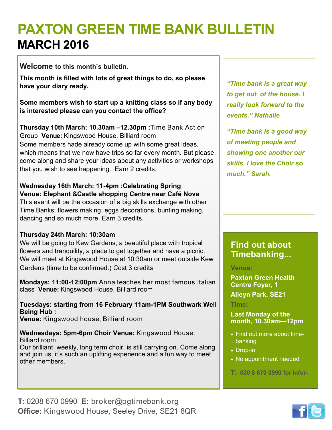# **PAXTON GREEN TIME BANK BULLETIN MARCH 2016**

**Welcome to this month's bulletin.** 

**This month is filled with lots of great things to do, so please have your diary ready.**

**Some members wish to start up a knitting class so if any body is interested please can you contact the office?**

**Thursday 10th March: 10.30am –12.30pm :**Time Bank Action Group **Venue:** Kingswood House, Billiard room Some members hade already come up with some great ideas, which means that we now have trips so far every month. But please, come along and share your ideas about any activities or workshops that you wish to see happening. Earn 2 credits.

**Wednesday 16th March: 11-4pm :Celebrating Spring Venue: Elephant &Castle shopping Centre near Café Nova** This event will be the occasion of a big skills exchange with other Time Banks: flowers making, eggs decorations, bunting making, dancing and so much more. Earn 3 credits.

#### **Thursday 24th March: 10:30am**

We will be going to Kew Gardens, a beautiful place with tropical flowers and tranquility, a place to get together and have a picnic. We will meet at Kingswood House at 10:30am or meet outside Kew Gardens (time to be confirmed.) Cost 3 credits

**Mondays: 11:00-12:00pm** Anna teaches her most famous Italian class **Venue:** Kingswood House, Billiard room

**Tuesdays: starting from 16 February 11am-1PM Southwark Well Being Hub : Venue:** Kingswood house, Billiard room

**Wednesdays: 5pm-6pm Choir Venue:** Kingswood House, Billiard room Our brilliant weekly, long term choir, is still carrying on. Come along and join us, it's such an uplifting experience and a fun way to meet other members.

*"Time bank is a great way to get out of the house. I really look forward to the events." Nathalie*

*"Time bank is a good way of meeting people and showing one another our skills. I love the Choir so much." Sarah.*

## **Find out about Timebanking...**

**Venue:** 

**Paxton Green Health Centre Foyer, 1 Alleyn Park, SE21**

**Time:**

**Last Monday of the month, 10.30am—12pm**

- Find out more about timebanking
- Drop-in
- No appointment needed
- **T: 020 8 670 0990 for infor-**